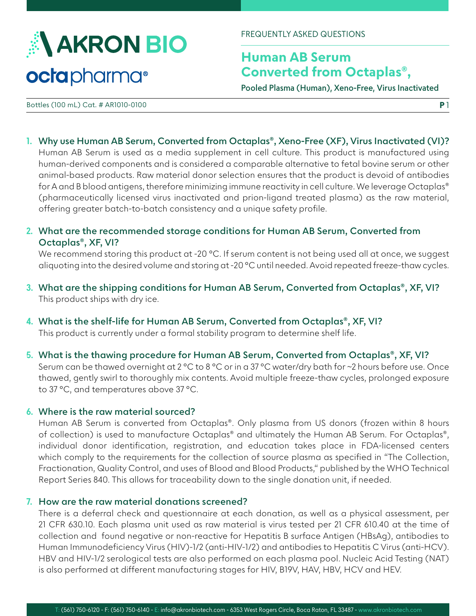

FREQUENTLY ASKED QUESTIONS

# **Human AB Serum Converted from Octaplas®,**

**Pooled Plasma (Human), Xeno-Free, Virus Inactivated**

**P** 1

Bottles (100 mL) Cat. # AR1010-0100

- **1. Why use Human AB Serum, Converted from Octaplas®, Xeno-Free (XF), Virus Inactivated (VI)?** Human AB Serum is used as a media supplement in cell culture. This product is manufactured using human-derived components and is considered a comparable alternative to fetal bovine serum or other animal-based products. Raw material donor selection ensures that the product is devoid of antibodies for A and B blood antigens, therefore minimizing immune reactivity in cell culture. We leverage Octaplas® (pharmaceutically licensed virus inactivated and prion-ligand treated plasma) as the raw material, offering greater batch-to-batch consistency and a unique safety profile.
- **2. What are the recommended storage conditions for Human AB Serum, Converted from Octaplas®, XF, VI?**

We recommend storing this product at -20 °C. If serum content is not being used all at once, we suggest aliquoting into the desired volume and storing at -20 °C until needed. Avoid repeated freeze-thaw cycles.

- **3. What are the shipping conditions for Human AB Serum, Converted from Octaplas®, XF, VI?** This product ships with dry ice.
- **4. What is the shelf-life for Human AB Serum, Converted from Octaplas®, XF, VI?** This product is currently under a formal stability program to determine shelf life.
- **5. What is the thawing procedure for Human AB Serum, Converted from Octaplas®, XF, VI?**

Serum can be thawed overnight at 2 °C to 8 °C or in a 37 °C water/dry bath for ~2 hours before use. Once thawed, gently swirl to thoroughly mix contents. Avoid multiple freeze-thaw cycles, prolonged exposure to 37 °C, and temperatures above 37 °C.

### **6. Where is the raw material sourced?**

Human AB Serum is converted from Octaplas®. Only plasma from US donors (frozen within 8 hours of collection) is used to manufacture Octaplas® and ultimately the Human AB Serum. For Octaplas®, individual donor identification, registration, and education takes place in FDA-licensed centers which comply to the requirements for the collection of source plasma as specified in "The Collection, Fractionation, Quality Control, and uses of Blood and Blood Products," published by the WHO Technical Report Series 840. This allows for traceability down to the single donation unit, if needed.

## **7. How are the raw material donations screened?**

There is a deferral check and questionnaire at each donation, as well as a physical assessment, per 21 CFR 630.10. Each plasma unit used as raw material is virus tested per 21 CFR 610.40 at the time of collection and found negative or non-reactive for Hepatitis B surface Antigen (HBsAg), antibodies to Human Immunodeficiency Virus (HIV)-1/2 (anti-HIV-1/2) and antibodies to Hepatitis C Virus (anti-HCV). HBV and HIV-1/2 serological tests are also performed on each plasma pool. Nucleic Acid Testing (NAT) is also performed at different manufacturing stages for HIV, B19V, HAV, HBV, HCV and HEV.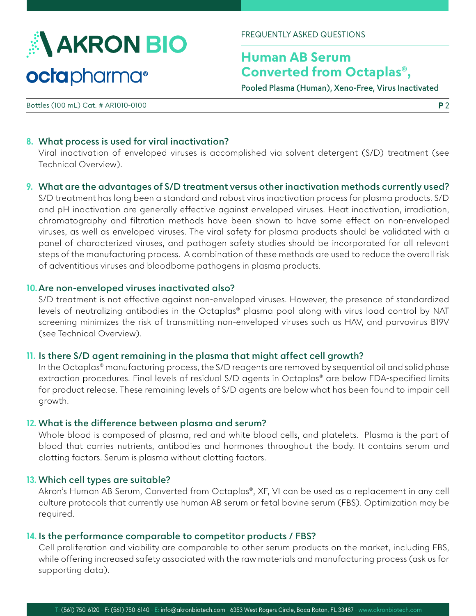

FREQUENTLY ASKED QUESTIONS

# **Human AB Serum Converted from Octaplas®,**

**Pooled Plasma (Human), Xeno-Free, Virus Inactivated**

Bottles (100 mL) Cat. # AR1010-0100

### **8. What process is used for viral inactivation?**

Viral inactivation of enveloped viruses is accomplished via solvent detergent (S/D) treatment (see Technical Overview).

## **9. What are the advantages of S/D treatment versus other inactivation methods currently used?**

S/D treatment has long been a standard and robust virus inactivation process for plasma products. S/D and pH inactivation are generally effective against enveloped viruses. Heat inactivation, irradiation, chromatography and filtration methods have been shown to have some effect on non-enveloped viruses, as well as enveloped viruses. The viral safety for plasma products should be validated with a panel of characterized viruses, and pathogen safety studies should be incorporated for all relevant steps of the manufacturing process. A combination of these methods are used to reduce the overall risk of adventitious viruses and bloodborne pathogens in plasma products.

#### **10.Are non-enveloped viruses inactivated also?**

S/D treatment is not effective against non-enveloped viruses. However, the presence of standardized levels of neutralizing antibodies in the Octaplas® plasma pool along with virus load control by NAT screening minimizes the risk of transmitting non-enveloped viruses such as HAV, and parvovirus B19V (see Technical Overview).

## **11. Is there S/D agent remaining in the plasma that might affect cell growth?**

In the Octaplas® manufacturing process, the S/D reagents are removed by sequential oil and solid phase extraction procedures. Final levels of residual S/D agents in Octaplas® are below FDA-specified limits for product release. These remaining levels of S/D agents are below what has been found to impair cell growth.

### **12. What is the difference between plasma and serum?**

Whole blood is composed of plasma, red and white blood cells, and platelets. Plasma is the part of blood that carries nutrients, antibodies and hormones throughout the body. It contains serum and clotting factors. Serum is plasma without clotting factors.

#### **13. Which cell types are suitable?**

Akron's Human AB Serum, Converted from Octaplas®, XF, VI can be used as a replacement in any cell culture protocols that currently use human AB serum or fetal bovine serum (FBS). Optimization may be required.

#### **14. Is the performance comparable to competitor products / FBS?**

Cell proliferation and viability are comparable to other serum products on the market, including FBS, while offering increased safety associated with the raw materials and manufacturing process (ask us for supporting data).

**P** 2